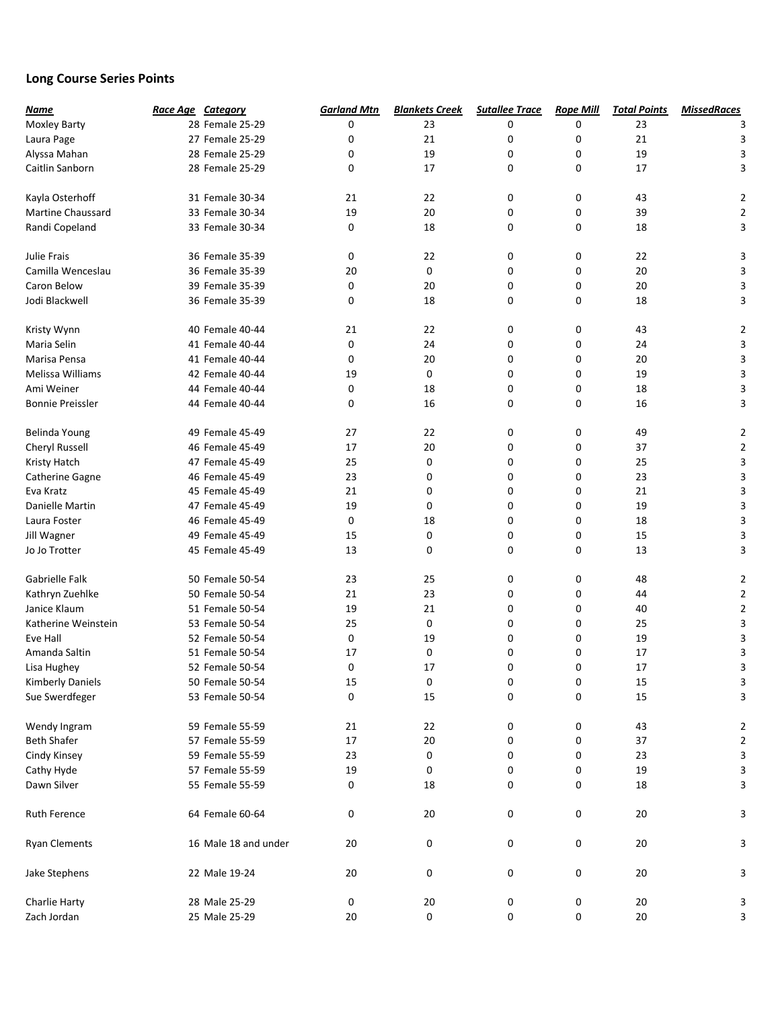## Long Course Series Points

| Name                     | Race Age Category    | <b>Garland Mtn</b> | <b>Blankets Creek</b> | <b>Sutallee Trace</b> | <b>Rope Mill</b> | <b>Total Points</b> | <b>MissedRaces</b>      |
|--------------------------|----------------------|--------------------|-----------------------|-----------------------|------------------|---------------------|-------------------------|
| Moxley Barty             | 28 Female 25-29      | 0                  | 23                    | 0                     | 0                | 23                  |                         |
| Laura Page               | 27 Female 25-29      | 0                  | 21                    | 0                     | 0                | 21                  | 3                       |
| Alyssa Mahan             | 28 Female 25-29      | 0                  | 19                    | 0                     | 0                | 19                  | 3                       |
| Caitlin Sanborn          | 28 Female 25-29      | 0                  | 17                    | 0                     | 0                | 17                  | 3                       |
| Kayla Osterhoff          | 31 Female 30-34      | 21                 | 22                    | 0                     | 0                | 43                  | 2                       |
| <b>Martine Chaussard</b> | 33 Female 30-34      | 19                 | 20                    | 0                     | 0                | 39                  | 2                       |
| Randi Copeland           | 33 Female 30-34      | 0                  | 18                    | 0                     | 0                | 18                  | 3                       |
| Julie Frais              | 36 Female 35-39      | 0                  | 22                    | 0                     | 0                | 22                  | 3                       |
| Camilla Wenceslau        | 36 Female 35-39      | 20                 | 0                     | 0                     | 0                | 20                  |                         |
| Caron Below              | 39 Female 35-39      | 0                  | 20                    | 0                     | 0                | 20                  | 3                       |
| Jodi Blackwell           | 36 Female 35-39      | 0                  | 18                    | 0                     | 0                | 18                  | 3                       |
| Kristy Wynn              | 40 Female 40-44      | 21                 | 22                    | 0                     | 0                | 43                  | 2                       |
| Maria Selin              | 41 Female 40-44      | 0                  | 24                    | 0                     | 0                | 24                  | 3                       |
| Marisa Pensa             | 41 Female 40-44      | 0                  | 20                    | 0                     | 0                | 20                  | 3                       |
| Melissa Williams         | 42 Female 40-44      | 19                 | 0                     | 0                     | 0                | 19                  | 3                       |
| Ami Weiner               | 44 Female 40-44      | 0                  | 18                    | 0                     | 0                | 18                  | 3                       |
| <b>Bonnie Preissler</b>  | 44 Female 40-44      | 0                  | 16                    | 0                     | 0                | 16                  | 3                       |
| Belinda Young            | 49 Female 45-49      | 27                 | 22                    | 0                     | 0                | 49                  | 2                       |
| <b>Cheryl Russell</b>    | 46 Female 45-49      | 17                 | 20                    | 0                     | 0                | 37                  | 2                       |
| Kristy Hatch             | 47 Female 45-49      | 25                 | 0                     | 0                     | 0                | 25                  | 3                       |
| Catherine Gagne          | 46 Female 45-49      | 23                 | 0                     | 0                     | 0                | 23                  | 3                       |
| Eva Kratz                | 45 Female 45-49      | 21                 | 0                     | 0                     | 0                | 21                  | 3                       |
| Danielle Martin          | 47 Female 45-49      | 19                 | 0                     | 0                     | 0                | 19                  | 3                       |
| Laura Foster             | 46 Female 45-49      | 0                  | 18                    | 0                     | 0                | 18                  | 3                       |
| Jill Wagner              | 49 Female 45-49      | 15                 | 0                     | 0                     | 0                | 15                  | 3                       |
| Jo Jo Trotter            | 45 Female 45-49      | 13                 | 0                     | 0                     | 0                | 13                  | 3                       |
| Gabrielle Falk           | 50 Female 50-54      | 23                 | 25                    | 0                     | 0                | 48                  | 2                       |
| Kathryn Zuehlke          | 50 Female 50-54      | 21                 | 23                    | 0                     | 0                | 44                  | 2                       |
| Janice Klaum             | 51 Female 50-54      | 19                 | 21                    | 0                     | 0                | 40                  | 2                       |
| Katherine Weinstein      | 53 Female 50-54      | 25                 | 0                     | 0                     | 0                | 25                  | 3                       |
| Eve Hall                 | 52 Female 50-54      | 0                  | 19                    | 0                     | 0                | 19                  |                         |
| Amanda Saltin            | 51 Female 50-54      | 17                 | 0                     | 0                     | 0                | 17                  |                         |
| Lisa Hughey              | 52 Female 50-54      | 0                  | 17                    | 0                     | 0                | 17                  | 3                       |
| <b>Kimberly Daniels</b>  | 50 Female 50-54      | 15                 | 0                     | 0                     | 0                | 15                  | 3                       |
| Sue Swerdfeger           | 53 Female 50-54      | 0                  | 15                    | 0                     | 0                | 15                  | 3                       |
| Wendy Ingram             | 59 Female 55-59      | 21                 | 22                    | 0                     | 0                | 43                  | $\overline{\mathbf{c}}$ |
| <b>Beth Shafer</b>       | 57 Female 55-59      | $17\,$             | $20\,$                | 0                     | 0                | 37                  | $\overline{\mathbf{c}}$ |
| Cindy Kinsey             | 59 Female 55-59      | 23                 | 0                     | 0                     | 0                | 23                  | 3                       |
| Cathy Hyde               | 57 Female 55-59      | 19                 | 0                     | 0                     | 0                | 19                  | 3                       |
| Dawn Silver              | 55 Female 55-59      | 0                  | $18\,$                | 0                     | 0                | 18                  | 3                       |
| <b>Ruth Ference</b>      | 64 Female 60-64      | 0                  | $20\,$                | 0                     | 0                | $20\,$              | 3                       |
| <b>Ryan Clements</b>     | 16 Male 18 and under | 20                 | 0                     | 0                     | 0                | $20\,$              | 3                       |
| Jake Stephens            | 22 Male 19-24        | 20                 | 0                     | 0                     | 0                | 20                  | 3                       |
| Charlie Harty            | 28 Male 25-29        | 0                  | 20                    | 0                     | 0                | $20\,$              | 3                       |
| Zach Jordan              | 25 Male 25-29        | 20                 | 0                     | 0                     | 0                | $20\,$              | 3                       |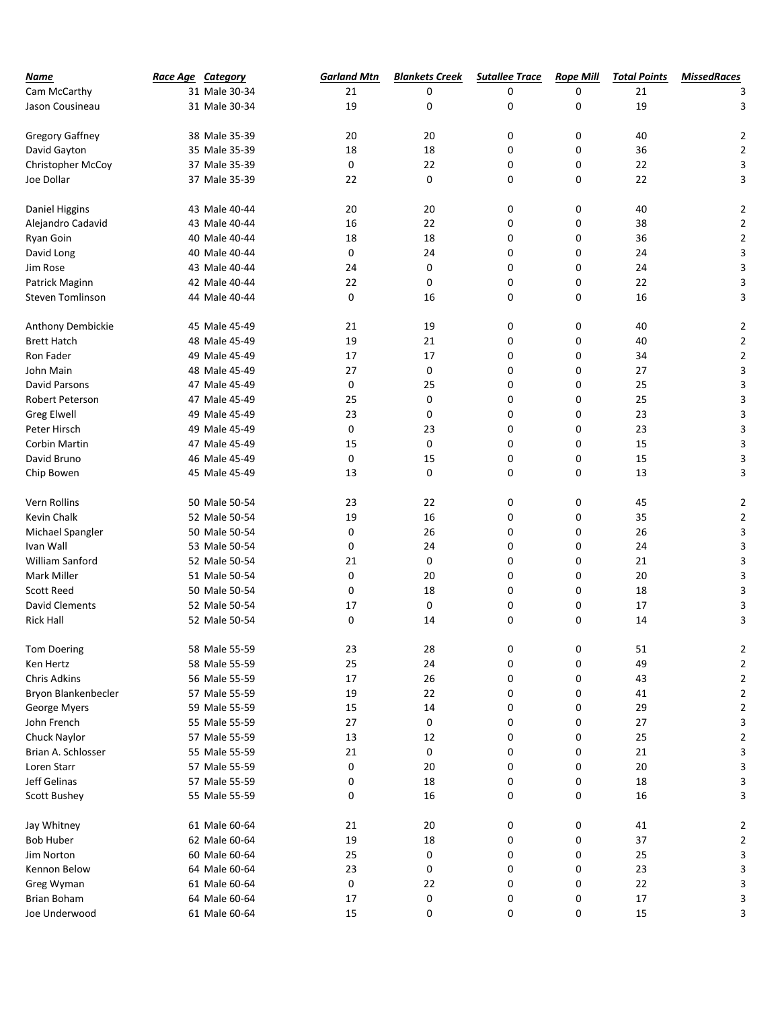| Name                    | <b>Race Age Category</b> | <b>Garland Mtn</b> | <b>Blankets Creek</b> | <b>Sutallee Trace</b> | <b>Rope Mill</b> | <b>Total Points</b> | <b>MissedRaces</b> |
|-------------------------|--------------------------|--------------------|-----------------------|-----------------------|------------------|---------------------|--------------------|
| Cam McCarthy            | 31 Male 30-34            | 21                 | 0                     | 0                     | 0                | 21                  |                    |
| Jason Cousineau         | 31 Male 30-34            | 19                 | 0                     | 0                     | 0                | 19                  | 3                  |
|                         |                          |                    |                       |                       |                  |                     |                    |
| Gregory Gaffney         | 38 Male 35-39            | 20                 | 20                    | 0                     | 0                | 40                  | $\overline{2}$     |
| David Gayton            | 35 Male 35-39            | 18                 | 18                    | 0                     | 0                | 36                  | 2                  |
| Christopher McCoy       | 37 Male 35-39            | 0                  | 22                    | 0                     | 0                | 22                  | 3                  |
| Joe Dollar              | 37 Male 35-39            | 22                 | 0                     | 0                     | 0                | 22                  | 3                  |
| Daniel Higgins          | 43 Male 40-44            | 20                 | 20                    | 0                     | 0                | 40                  | $\overline{2}$     |
| Alejandro Cadavid       | 43 Male 40-44            | 16                 | 22                    | 0                     | 0                | 38                  | $\overline{2}$     |
| Ryan Goin               | 40 Male 40-44            | 18                 | 18                    | 0                     | 0                | 36                  | $\overline{2}$     |
| David Long              | 40 Male 40-44            | 0                  | 24                    | 0                     | 0                | 24                  | 3                  |
|                         |                          |                    |                       |                       |                  |                     |                    |
| Jim Rose                | 43 Male 40-44            | 24                 | 0                     | 0                     | 0                | 24                  | 3                  |
| Patrick Maginn          | 42 Male 40-44            | 22                 | 0                     | 0                     | 0                | 22                  | 3                  |
| <b>Steven Tomlinson</b> | 44 Male 40-44            | 0                  | 16                    | 0                     | 0                | 16                  | 3                  |
| Anthony Dembickie       | 45 Male 45-49            | 21                 | 19                    | 0                     | 0                | 40                  | $\overline{a}$     |
| <b>Brett Hatch</b>      | 48 Male 45-49            | 19                 | 21                    | 0                     | 0                | 40                  | 2                  |
| Ron Fader               | 49 Male 45-49            | 17                 | 17                    | 0                     | 0                | 34                  | 2                  |
| John Main               | 48 Male 45-49            | 27                 | 0                     | 0                     | 0                | 27                  | 3                  |
| <b>David Parsons</b>    | 47 Male 45-49            | 0                  | 25                    | 0                     | 0                | 25                  | 3                  |
| Robert Peterson         | 47 Male 45-49            | 25                 | 0                     | 0                     | 0                | 25                  | 3                  |
| <b>Greg Elwell</b>      | 49 Male 45-49            | 23                 | 0                     | 0                     | 0                | 23                  | 3                  |
| Peter Hirsch            | 49 Male 45-49            | 0                  | 23                    | 0                     | 0                | 23                  | 3                  |
| <b>Corbin Martin</b>    | 47 Male 45-49            | 15                 | 0                     | 0                     | 0                | 15                  | 3                  |
| David Bruno             | 46 Male 45-49            | 0                  | 15                    | 0                     | 0                | 15                  | 3                  |
| Chip Bowen              | 45 Male 45-49            | 13                 | 0                     | 0                     | 0                | 13                  | 3                  |
|                         |                          |                    |                       |                       |                  |                     |                    |
| Vern Rollins            | 50 Male 50-54            | 23                 | 22                    | 0                     | 0                | 45                  | $\overline{2}$     |
| Kevin Chalk             | 52 Male 50-54            | 19                 | 16                    | 0                     | 0                | 35                  | 2                  |
| Michael Spangler        | 50 Male 50-54            | 0                  | 26                    | 0                     | 0                | 26                  | 3                  |
| Ivan Wall               | 53 Male 50-54            | 0                  | 24                    | 0                     | 0                | 24                  | 3                  |
| William Sanford         | 52 Male 50-54            | 21                 | 0                     | 0                     | 0                | 21                  | 3                  |
| Mark Miller             | 51 Male 50-54            | 0                  | 20                    | 0                     | 0                | 20                  | 3                  |
| <b>Scott Reed</b>       | 50 Male 50-54            | 0                  | 18                    | 0                     | 0                | 18                  | 3                  |
| <b>David Clements</b>   | 52 Male 50-54            | 17                 | 0                     | 0                     | 0                | 17                  | 3                  |
| <b>Rick Hall</b>        | 52 Male 50-54            | 0                  | 14                    | 0                     | 0                | 14                  | 3                  |
| <b>Tom Doering</b>      | 58 Male 55-59            | 23                 | 28                    | 0                     | 0                | 51                  | 2                  |
| Ken Hertz               | 58 Male 55-59            | 25                 | 24                    | 0                     | 0                | 49                  | 2                  |
| Chris Adkins            | 56 Male 55-59            | $17\,$             | 26                    | 0                     | 0                | 43                  | 2                  |
|                         |                          |                    | 22                    | 0                     |                  | 41                  | 2                  |
| Bryon Blankenbecler     | 57 Male 55-59            | 19                 |                       |                       | 0                |                     |                    |
| George Myers            | 59 Male 55-59            | 15                 | 14                    | 0                     | 0                | 29                  | 2                  |
| John French             | 55 Male 55-59            | 27                 | 0                     | 0                     | 0                | $27\,$              | 3                  |
| Chuck Naylor            | 57 Male 55-59            | 13                 | 12                    | 0                     | 0                | 25                  | 2                  |
| Brian A. Schlosser      | 55 Male 55-59            | 21                 | 0                     | 0                     | 0                | $21\,$              | 3                  |
| Loren Starr             | 57 Male 55-59            | 0                  | 20                    | 0                     | 0                | $20\,$              | 3                  |
| Jeff Gelinas            | 57 Male 55-59            | 0                  | 18                    | 0                     | 0                | $18\,$              | 3                  |
| <b>Scott Bushey</b>     | 55 Male 55-59            | 0                  | 16                    | 0                     | 0                | $16\,$              | 3                  |
| Jay Whitney             | 61 Male 60-64            | 21                 | $20\,$                | 0                     | 0                | 41                  | 2                  |
| <b>Bob Huber</b>        | 62 Male 60-64            | 19                 | 18                    | 0                     | 0                | 37                  | 2                  |
| Jim Norton              | 60 Male 60-64            | 25                 | 0                     | 0                     | 0                | 25                  | 3                  |
| Kennon Below            | 64 Male 60-64            | 23                 | 0                     | 0                     | 0                | 23                  | 3                  |
| Greg Wyman              | 61 Male 60-64            | 0                  | 22                    | 0                     | 0                | 22                  | 3                  |
| <b>Brian Boham</b>      | 64 Male 60-64            | 17                 | 0                     | 0                     | 0                | 17                  | 3                  |
| Joe Underwood           | 61 Male 60-64            | 15                 | 0                     | 0                     | 0                | 15                  | 3                  |
|                         |                          |                    |                       |                       |                  |                     |                    |